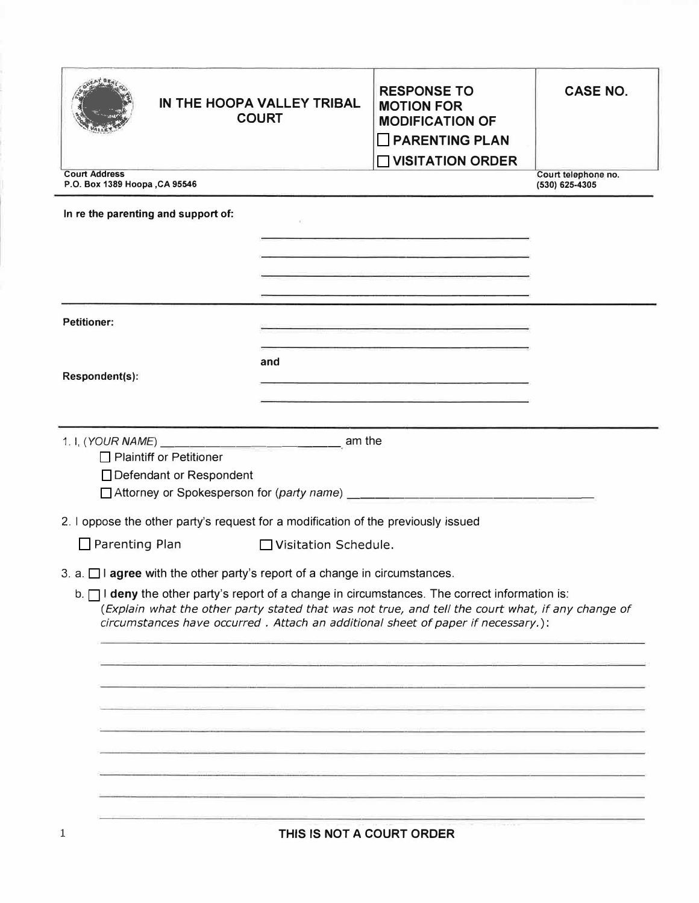| IN THE HOOPA VALLEY TRIBAL<br><b>COURT</b><br><b>Court Address</b>                                  |                        | <b>RESPONSE TO</b><br><b>MOTION FOR</b><br><b>MODIFICATION OF</b><br><b>PARENTING PLAN</b><br>$\Box$ VISITATION ORDER                                                                                                                | <b>CASE NO.</b>                       |
|-----------------------------------------------------------------------------------------------------|------------------------|--------------------------------------------------------------------------------------------------------------------------------------------------------------------------------------------------------------------------------------|---------------------------------------|
| P.O. Box 1389 Hoopa, CA 95546                                                                       |                        |                                                                                                                                                                                                                                      | Court telephone no.<br>(530) 625-4305 |
| In re the parenting and support of:                                                                 |                        |                                                                                                                                                                                                                                      |                                       |
|                                                                                                     |                        | the contract of the contract of the contract of the contract of the contract of<br>the company's and the company's proportion of the company's company's                                                                             |                                       |
|                                                                                                     |                        | <u> 1980 - An Chang an Chang an Chang</u>                                                                                                                                                                                            |                                       |
|                                                                                                     |                        | the contract of the contract of the contract of the contract of the contract of the contract of                                                                                                                                      |                                       |
| <b>Petitioner:</b>                                                                                  |                        | <u> 1989 - John Harry Harry Harry Harry Harry Harry Harry Harry Harry Harry Harry Harry Harry Harry Harry Harry Harry Harry Harry Harry Harry Harry Harry Harry Harry Harry Harry Harry Harry Harry Harry Harry Harry Harry Harr</u> |                                       |
| Respondent(s):                                                                                      | and                    | the contract of the contract of the contract of the contract of the contract of                                                                                                                                                      |                                       |
|                                                                                                     |                        | the contract of the contract of the contract of the contract of the contract of                                                                                                                                                      |                                       |
|                                                                                                     |                        |                                                                                                                                                                                                                                      |                                       |
|                                                                                                     |                        |                                                                                                                                                                                                                                      |                                       |
| □ Plaintiff or Petitioner<br>□ Defendant or Respondent                                              |                        |                                                                                                                                                                                                                                      |                                       |
|                                                                                                     |                        |                                                                                                                                                                                                                                      |                                       |
| 2. I oppose the other party's request for a modification of the previously issued                   |                        |                                                                                                                                                                                                                                      |                                       |
| $\Box$ Parenting Plan                                                                               | □ Visitation Schedule. |                                                                                                                                                                                                                                      |                                       |
| 3. a. $\Box$ I agree with the other party's report of a change in circumstances.                    |                        |                                                                                                                                                                                                                                      |                                       |
| $b. \Box$ I deny the other party's report of a change in circumstances. The correct information is: |                        | (Explain what the other party stated that was not true, and tell the court what, if any change of<br>circumstances have occurred. Attach an additional sheet of paper if necessary.):                                                |                                       |
|                                                                                                     |                        |                                                                                                                                                                                                                                      |                                       |
|                                                                                                     |                        |                                                                                                                                                                                                                                      |                                       |
|                                                                                                     |                        |                                                                                                                                                                                                                                      |                                       |
|                                                                                                     |                        |                                                                                                                                                                                                                                      |                                       |
|                                                                                                     |                        |                                                                                                                                                                                                                                      |                                       |
|                                                                                                     |                        |                                                                                                                                                                                                                                      |                                       |
|                                                                                                     |                        |                                                                                                                                                                                                                                      |                                       |
|                                                                                                     |                        |                                                                                                                                                                                                                                      |                                       |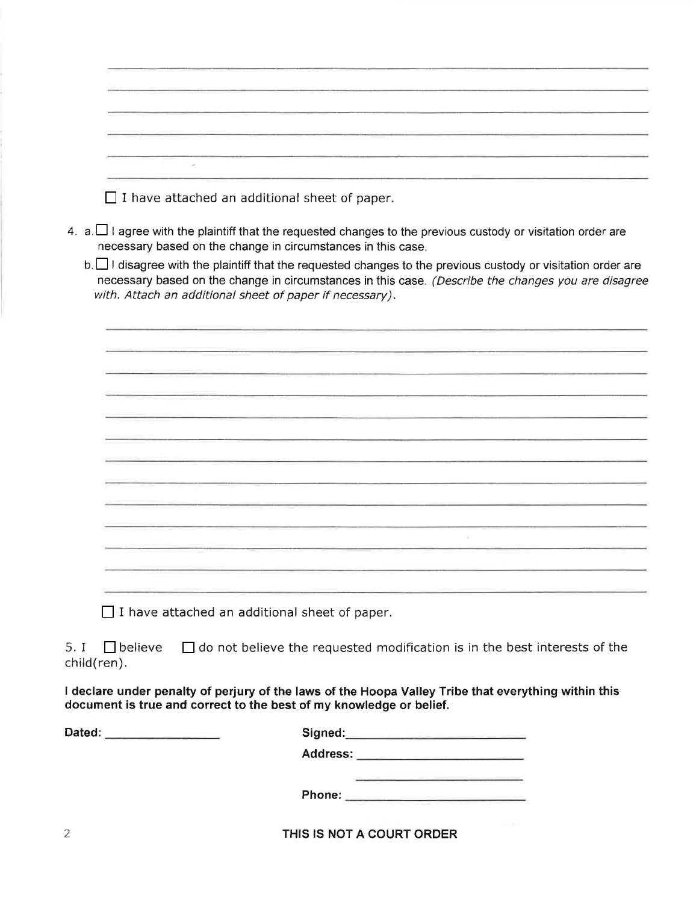| $\Box$ I have attached an additional sheet of paper.                                                                                                                                                                                                                           |
|--------------------------------------------------------------------------------------------------------------------------------------------------------------------------------------------------------------------------------------------------------------------------------|
| 4. a. $\Box$ I agree with the plaintiff that the requested changes to the previous custody or visitation order are<br>necessary based on the change in circumstances in this case.                                                                                             |
| b. I disagree with the plaintiff that the requested changes to the previous custody or visitation order are<br>necessary based on the change in circumstances in this case. (Describe the changes you are disagree<br>with. Attach an additional sheet of paper if necessary). |
|                                                                                                                                                                                                                                                                                |
|                                                                                                                                                                                                                                                                                |
|                                                                                                                                                                                                                                                                                |
|                                                                                                                                                                                                                                                                                |
|                                                                                                                                                                                                                                                                                |
|                                                                                                                                                                                                                                                                                |
|                                                                                                                                                                                                                                                                                |
|                                                                                                                                                                                                                                                                                |
|                                                                                                                                                                                                                                                                                |
|                                                                                                                                                                                                                                                                                |
|                                                                                                                                                                                                                                                                                |
|                                                                                                                                                                                                                                                                                |
|                                                                                                                                                                                                                                                                                |
|                                                                                                                                                                                                                                                                                |
| I have attached an additional sheet of paper.                                                                                                                                                                                                                                  |
| 5. I<br>$\Box$ do not believe the requested modification is in the best interests of the<br>$\Box$ believe<br>child(ren).                                                                                                                                                      |
| I declare under penalty of perjury of the laws of the Hoopa Valley Tribe that everything within this<br>document is true and correct to the best of my knowledge or belief.                                                                                                    |

| Dated: | Signed:  |
|--------|----------|
|        | Address: |
|        | Phone:   |

2 **THIS IS NOT A COURT ORDER**